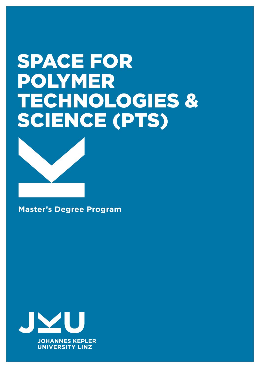# Space for Polymer technologies & science (PTS)



**Master's Degree Program**

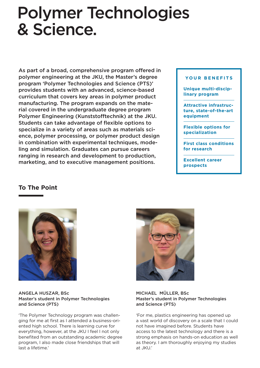## Polymer Technologies & Science.

As part of a broad, comprehensive program offered in polymer engineering at the JKU, the Master's degree program 'Polymer Technologies and Science (PTS)' provides students with an advanced, science-based curriculum that covers key areas in polymer product manufacturing. The program expands on the material covered in the undergraduate degree program Polymer Engineering (Kunststofftechnik) at the JKU. Students can take advantage of flexible options to specialize in a variety of areas such as materials science, polymer processing, or polymer product design in combination with experimental techniques, modeling and simulation. Graduates can pursue careers ranging in research and development to production, marketing, and to executive management positions.

#### **you r b e n e fits**

**Unique multi-disciplinary program** 

**Attractive infrastructure, state-of-the-art equipment**

**Flexible options for specialization**

**First class conditions for research**

**Excellent career prospects**

#### **To The Point**



ANGELA HUSZAR, BSc Master's student in Polymer Technologies and Science (PTS)

'The Polymer Technology program was challenging for me at first as I attended a business-oriented high school. There is learning curve for everything, however, at the JKU I feel I not only benefited from an outstanding academic degree program, I also made close friendships that will last a lifetime.'



#### MICHAEL MÜLLER, BSc Master's student in Polymer Technologies and Science (PTS)

'For me, plastics engineering has opened up a vast world of discovery on a scale that I could not have imagined before. Students have access to the latest technology and there is a strong emphasis on hands-on education as well as theory. I am thoroughly enjoying my studies at JKU.'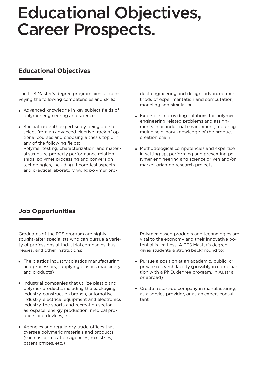## Educational Objectives, Career Prospects.

### **Educational Objectives**

The PTS Master's degree program aims at conveying the following competencies and skills:

- Advanced knowledge in key subject fields of polymer engineering and science
- Special in-depth expertise by being able to select from an advanced elective track of optional courses and choosing a thesis topic in any of the following fields:

Polymer testing, characterization, and material structure property performance relationships; polymer processing and conversion technologies, including theoretical aspects and practical laboratory work; polymer product engineering and design: advanced methods of experimentation and computation, modeling and simulation.

- Expertise in providing solutions for polymer engineering related problems and assignments in an industrial environment, requiring multidisciplinary knowledge of the product creation chain
- Methodological competencies and expertise in setting up, performing and presenting polymer engineering and science driven and/or market oriented research projects

## **Job Opportunities**

Graduates of the PTS program are highly sought-after specialists who can pursue a variety of professions at industrial companies, businesses, and other institutions:

- The plastics industry (plastics manufacturing and processors, supplying plastics machinery and products)
- Industrial companies that utilize plastic and polymer products, including the packaging industry, construction branch, automotive industry, electrical equipment and electronics industry, the sports and recreation sector, aerospace, energy production, medical products and devices, etc.
- Agencies and regulatory trade offices that oversee polymeric materials and products (such as certification agencies, ministries, patent offices, etc.)

Polymer-based products and technologies are vital to the economy and their innovative potential is limitless. A PTS Master's degree gives students a strong background to:

- Pursue a position at an academic, public, or private research facility (possibly in combination with a Ph.D. degree program, in Austria or abroad)
- Create a start-up company in manufacturing, as a service provider, or as an expert consultant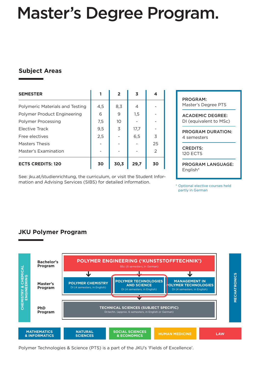## Master's Degree Program.

## **Subject Areas**

| <b>SEMESTER</b>                 | 1   | $\overline{2}$  | 3              | 4              |
|---------------------------------|-----|-----------------|----------------|----------------|
| Polymeric Materials and Testing | 4,5 | 8,3             | $\overline{4}$ |                |
| Polymer Product Engineering     | 6   | 9               | 1,5            |                |
| <b>Polymer Processing</b>       | 7,5 | 10 <sup>°</sup> |                |                |
| <b>Elective Track</b>           | 9,5 | 3               | 17,7           |                |
| Free electives                  | 2,5 |                 | 6,5            | 3              |
| <b>Masters Thesis</b>           |     |                 |                | 25             |
| Master's Examination            |     |                 |                | $\overline{2}$ |
| <b>ECTS CREDITS: 120</b>        | 30  | 30,3            | 29,7           | 30             |

See: jku.at/studienrichtung, the curriculum, or visit the Student Information and Advising Services (SIBS) for detailed information.

program: Master's Degree PTS

Academic Degree: DI (equivalent to MSc)

program duration: 4 semesters

CREDITS: 120 ECTS

program language: English\*

\* Optional elective courses held partly in German

## **JKU Polymer Program**



Polymer Technologies & Science (PTS) is a part of the JKU's 'Fields of Excellence'.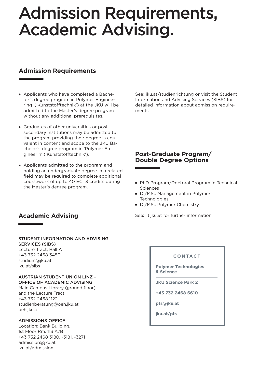## Admission Requirements, Academic Advising.

## **Admission Requirements**

- Applicants who have completed a Bachelor's degree program in Polymer Engineering ('Kunststofftechnik') at the JKU will be admitted to the Master's degree program without any additional prerequisites.
- Graduates of other universities or postsecondary institutions may be admitted to the program providing their degree is equivalent in content and scope to the JKU Bachelor's degree program in 'Polymer Engineerin' ('Kunststofftechnik').
- Applicants admitted to the program and holding an undergraduate degree in a related field may be required to complete additional coursework of up to 40 ECTS credits during the Master's degree program.

## **Academic Advising**

#### Student Information and Advising Services (SIBS)

Lecture Tract, Hall A +43 732 2468 3450 studium@jku.at jku.at/sibs

#### Austrian Student Union Linz – Office of Academic Advising

Main Campus Library (ground floor) and the Lecture Tract +43 732 2468 1122 studienberatung@oeh.jku.at oeh.jku.at

#### ADMISSIONS OFFICE

Location: Bank Building, 1st Floor Rm. 113 A/B +43 732 2468 3180, -3181, -3271 admission@jku.at jku.at/admission

See: jku.at/studienrichtung or visit the Student Information and Advising Services (SIBS) for detailed information about admission requirements.

### **Post-Graduate Program/ Double Degree Options**

- PhD Program/Doctoral Program in Technical Sciences
- DI/MSc Management in Polymer **Technologies**
- DI/MSc Polymer Chemistry

See: lit.jku.at for further information.

#### **co ntac t**

**Polymer Technologies & Science**

**JKU Science Park 2**

**+43 732 2468 6610**

**pts@jku.at**

**jku.at/pts**